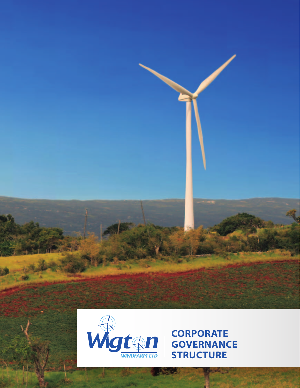



**CORPORATE GOVERNANCE STRUCTURE**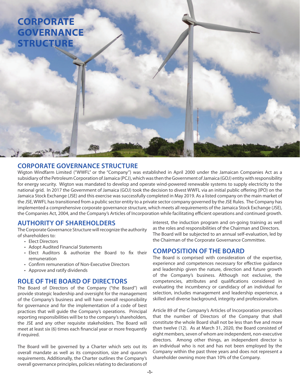# **CORPORATE GOVERNANCE STRUCTURE**

## **CORPORATE GOVERNANCE STRUCTURE**

Wigton Windfarm Limited ("WWFL" or the "Company") was established in April 2000 under the Jamaican Companies Act as a subsidiary of the Petroleum Corporation of Jamaica (PCJ), which was then the Government of Jamaica (GOJ) entity with responsibility for energy security. Wigton was mandated to develop and operate wind-powered renewable systems to supply electricity to the national grid. In 2017 the Government of Jamaica (GOJ) took the decision to divest WWFL via an initial public offering (IPO) on the Jamaica Stock Exchange (JSE) and this exercise was successfully completed in May 2019. As a listed company on the main market of the JSE, WWFL has transitioned from a public sector entity to a private sector company governed by the JSE Rules. The Company has implemented a comprehensive corporate governance structure, which meets all requirements of the Jamaica Stock Exchange (JSE), the Companies Act, 2004, and the Company's Articles of Incorporation while facilitating efficient operations and continued growth.

## **AUTHORITY OF SHAREHOLDERS**

The Corporate Governance Structure will recognize the authority of shareholders to:

- **Elect Directors**
- • Adopt Audited Financial Statements
- Elect Auditors  $\&$  authorize the Board to fix their remuneration
- Confirm remuneration of Non-Executive Directors
- • Approve and ratify dividends

## **ROLE OF THE BOARD OF DIRECTORS**

The Board of Directors of the Company ("the Board") will provide strategic leadership and oversight for the management of the Company's business and will have overall responsibility for governance and for the implementation of a code of best practices that will guide the Company's operations. Principal reporting responsibilities will be to the company's shareholders, the JSE and any other requisite stakeholders. The Board will meet at least six (6) times each financial year or more frequently if required.

The Board will be governed by a Charter which sets out its overall mandate as well as its composition, size and quorum requirements. Additionally, the Charter outlines the Company's overall governance principles, policies relating to declarations of interest, the induction program and on-going training as well as the roles and responsibilities of the Chairman and Directors. The Board will be subjected to an annual self-evaluation, led by the Chairman of the Corporate Governance Committee.

## **COMPOSITION OF THE BOARD**

The Board is comprised with consideration of the expertise, experience and competences necessary for effective guidance and leadership given the nature, direction and future growth of the Company's business. Although not exclusive, the competencies, attributes and qualifications considered in evaluating the incumbency or candidacy of an individual for selection, includes management and leadership experience, a skilled and diverse background, integrity and professionalism.

Article 89 of the Company's Articles of Incorporation prescribes that the number of Directors of the Company that shall constitute the whole Board shall not be less than five and more than twelve (12). As at March 31, 2020, the Board consisted of eight members, seven of whom are independent, non-executive directors. Among other things, an independent director is an individual who is not and has not been employed by the Company within the past three years and does not represent a shareholder owning more than 10% of the Company.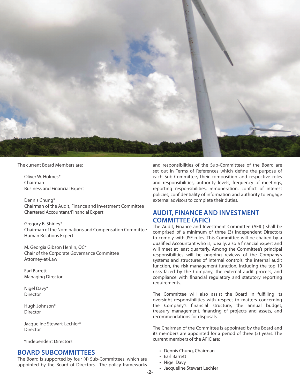

The current Board Members are:

Oliver W. Holmes\* Chairman Business and Financial Expert

Dennis Chung\* Chairman of the Audit, Finance and Investment Committee Chartered Accountant/Financial Expert

Gregory B. Shirley\* Chairman of the Nominations and Compensation Committee Human Relations Expert

M. Georgia Gibson Henlin, QC\* Chair of the Corporate Governance Committee Attorney-at-Law

Earl Barrett Managing Director

Nigel Davy\* Director

Hugh Johnson\* Director

Jacqueline Stewart-Lechler\* **Director** 

\*Independent Directors

#### **BOARD SUBCOMMITTEES**

The Board is supported by four (4) Sub-Committees, which are appointed by the Board of Directors. The policy frameworks

and responsibilities of the Sub-Committees of the Board are set out in Terms of References which define the purpose of each Sub-Committee, their composition and respective roles and responsibilities, authority levels, frequency of meetings, reporting responsibilities, remuneration, conflict of interest policies, confidentiality of information and authority to engage external advisors to complete their duties.

## **Audit, Finance and Investment Committee (AFIC)**

The Audit, Finance and Investment Committee (AFIC) shall be comprised of a minimum of three (3) Independent Directors to comply with JSE rules. This Committee will be chaired by a qualified Accountant who is, ideally, also a financial expert and will meet at least quarterly. Among the Committee's principal responsibilities will be ongoing reviews of the Company's systems and structures of internal controls, the internal audit function, the risk management function, including the top 10 risks faced by the Company, the external audit process, and compliance with financial regulatory and statutory reporting requirements.

The Committee will also assist the Board in fulfilling its oversight responsibilities with respect to matters concerning the Company's financial structure, the annual budget, treasury management, financing of projects and assets, and recommendations for disposals.

The Chairman of the Committee is appointed by the Board and its members are appointed for a period of three (3) years. The current members of the AFIC are:

- • Dennis Chung, Chairman
- • Earl Barrett
- Nigel Davy
- • Jacqueline Stewart Lechler